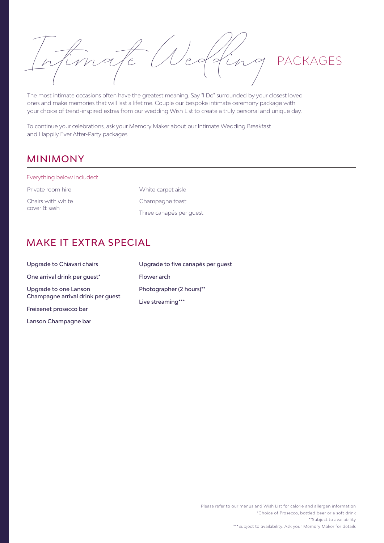Intimate Wedding PACKAGES

The most intimate occasions often have the greatest meaning. Say "I Do" surrounded by your closest loved ones and make memories that will last a lifetime. Couple our bespoke intimate ceremony package with your choice of trend-inspired extras from our wedding Wish List to create a truly personal and unique day.

To continue your celebrations, ask your Memory Maker about our Intimate Wedding Breakfast and Happily Ever After-Party packages.

## MINIMONY

Everything below included:

Private room hire Chairs with white cover & sash

<span id="page-0-5"></span><span id="page-0-3"></span>White carpet aisle Champagne toast Three canapés per guest

## MAKE IT EXTRA SPECIAL

<span id="page-0-1"></span>

| Upgrade to Chiavari chairs                                 | Upgrade to five canapés per quest |
|------------------------------------------------------------|-----------------------------------|
| One arrival drink per quest*                               | Flower arch                       |
| Upgrade to one Lanson<br>Champagne arrival drink per guest | Photographer (2 hours)**          |
| Freixenet prosecco bar                                     | Live streaming***                 |

Lanson Champagne bar

<span id="page-0-4"></span><span id="page-0-2"></span><span id="page-0-0"></span>Please refer to our menus and Wish List for calorie and allergen information [\\*\\*](#page-0-3)Subject to availability [\\*](#page-0-1)Choice of Prosecco, bottled beer or a soft drink [\\*\\*\\*](#page-0-5)Subject to availability. Ask your Memory Maker for details